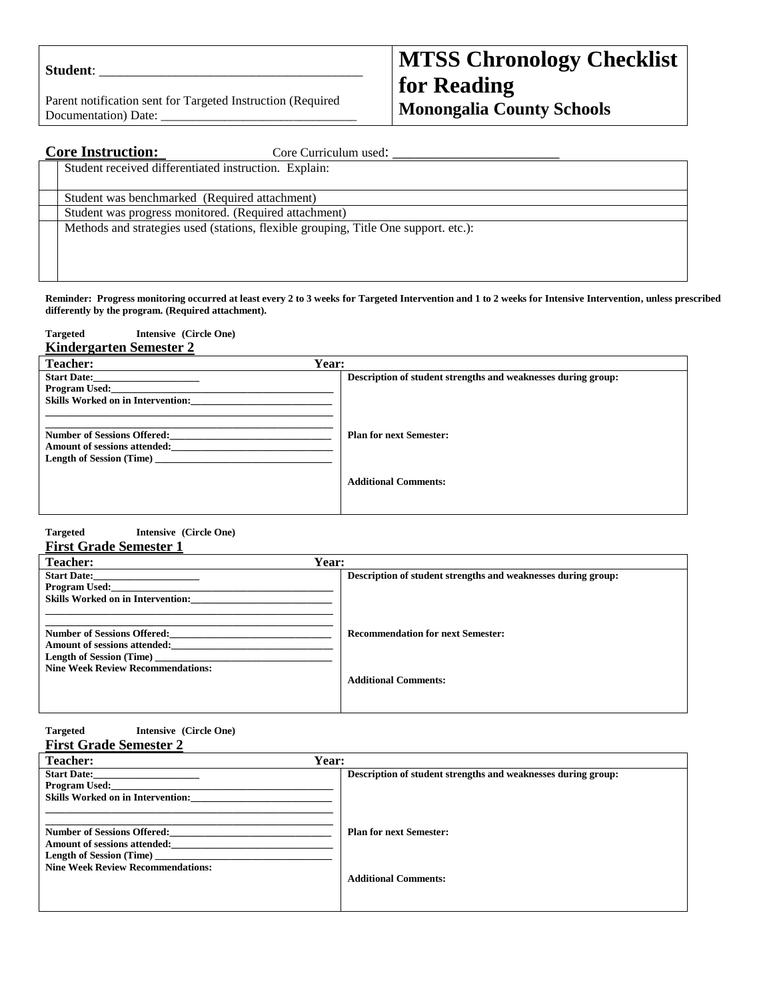| <b>Student:</b> |  |
|-----------------|--|
|                 |  |

Parent notification sent for Targeted Instruction (Required Documentation) Date:

# **MTSS Chronology Checklist for Reading Monongalia County Schools**

| <b>Core Instruction:</b><br>Core Curriculum used:                                   |
|-------------------------------------------------------------------------------------|
| Student received differentiated instruction. Explain:                               |
| Student was benchmarked (Required attachment)                                       |
| Student was progress monitored. (Required attachment)                               |
| Methods and strategies used (stations, flexible grouping, Title One support. etc.): |
|                                                                                     |
|                                                                                     |

**Reminder: Progress monitoring occurred at least every 2 to 3 weeks for Targeted Intervention and 1 to 2 weeks for Intensive Intervention, unless prescribed differently by the program. (Required attachment).** 

| <b>Targeted</b><br>Intensive (Circle One)                                                             |                                                               |
|-------------------------------------------------------------------------------------------------------|---------------------------------------------------------------|
| <b>Kindergarten Semester 2</b>                                                                        |                                                               |
| Year:<br><b>Teacher:</b>                                                                              |                                                               |
| <b>Start Date:</b><br><b>Program Used:</b><br><b>Skills Worked on in Intervention:</b>                | Description of student strengths and weaknesses during group: |
| <b>Number of Sessions Offered:</b><br>Amount of sessions attended:<br><b>Length of Session (Time)</b> | <b>Plan for next Semester:</b>                                |
|                                                                                                       | <b>Additional Comments:</b>                                   |

#### **Targeted Intensive (Circle One) First Grade Semester 1**

| <b>Teacher:</b>                                                      | <b>Year:</b>                                                  |
|----------------------------------------------------------------------|---------------------------------------------------------------|
| <b>Start Date:</b><br>Program Used:                                  | Description of student strengths and weaknesses during group: |
| <b>Skills Worked on in Intervention:</b>                             |                                                               |
| Number of Sessions Offered:<br><b>Amount of sessions attended:</b>   | <b>Recommendation for next Semester:</b>                      |
| Length of Session (Time)<br><b>Nine Week Review Recommendations:</b> |                                                               |
|                                                                      | <b>Additional Comments:</b>                                   |

| <b>Targeted</b> |  | Intensive (Circle One) |  |  |
|-----------------|--|------------------------|--|--|
| $\sim$          |  |                        |  |  |

|  | <b>First Grade Semester 2</b> |  |
|--|-------------------------------|--|
|  |                               |  |

| Teacher:                                 | Year:                                                         |
|------------------------------------------|---------------------------------------------------------------|
| <b>Start Date:</b>                       | Description of student strengths and weaknesses during group: |
| <b>Program Used:</b>                     |                                                               |
| <b>Skills Worked on in Intervention:</b> |                                                               |
|                                          |                                                               |
| <b>Number of Sessions Offered:</b>       | <b>Plan for next Semester:</b>                                |
| <b>Amount of sessions attended:</b>      |                                                               |
| Length of Session (Time)                 |                                                               |
| <b>Nine Week Review Recommendations:</b> |                                                               |
|                                          | <b>Additional Comments:</b>                                   |
|                                          |                                                               |
|                                          |                                                               |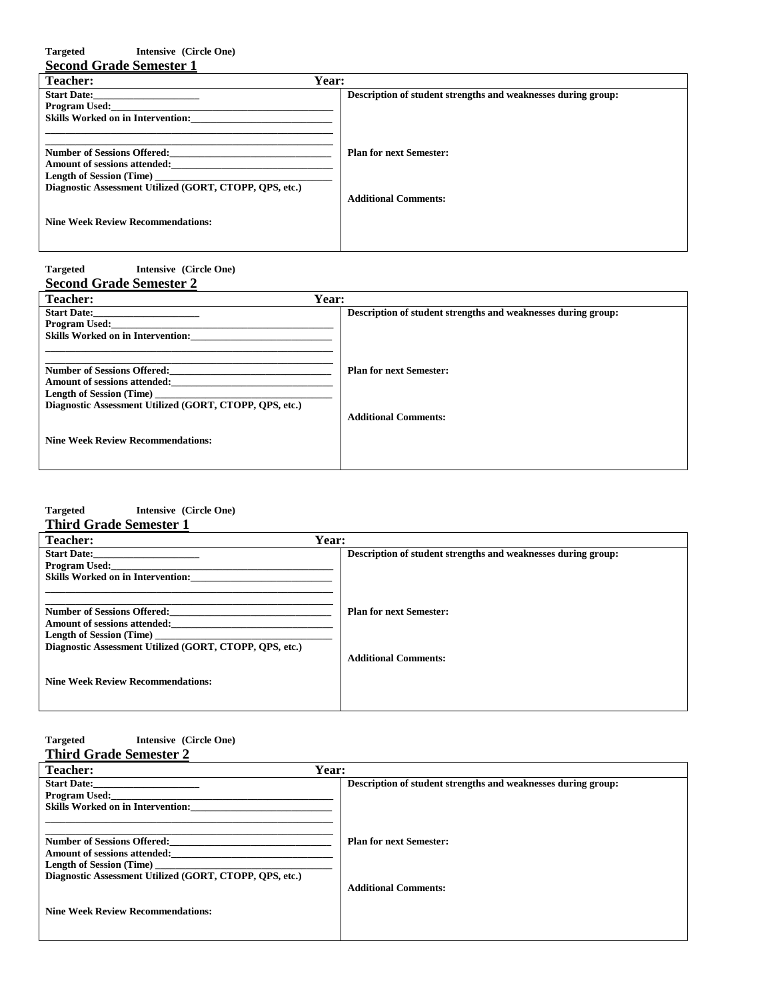| <b>Targeted</b><br>Intensive (Circle One)               |                                                               |
|---------------------------------------------------------|---------------------------------------------------------------|
| <b>Second Grade Semester 1</b>                          |                                                               |
| Year:<br>Teacher:                                       |                                                               |
| <b>Start Date:</b>                                      | Description of student strengths and weaknesses during group: |
| <b>Program Used:</b>                                    |                                                               |
| <b>Skills Worked on in Intervention:</b>                |                                                               |
|                                                         |                                                               |
|                                                         |                                                               |
| <b>Number of Sessions Offered:</b>                      | <b>Plan for next Semester:</b>                                |
| Amount of sessions attended:                            |                                                               |
| <b>Length of Session (Time)</b>                         |                                                               |
| Diagnostic Assessment Utilized (GORT, CTOPP, OPS, etc.) |                                                               |
|                                                         | <b>Additional Comments:</b>                                   |
|                                                         |                                                               |
| <b>Nine Week Review Recommendations:</b>                |                                                               |
|                                                         |                                                               |
|                                                         |                                                               |

#### **Targeted Intensive (Circle One) Second Grade Semester 2**

| Year:<br><b>Teacher:</b>                                |                                                               |
|---------------------------------------------------------|---------------------------------------------------------------|
| <b>Start Date:</b>                                      | Description of student strengths and weaknesses during group: |
| <b>Program Used:</b>                                    |                                                               |
| <b>Skills Worked on in Intervention:</b>                |                                                               |
|                                                         |                                                               |
| <b>Number of Sessions Offered:</b>                      | <b>Plan for next Semester:</b>                                |
| <b>Amount of sessions attended:</b>                     |                                                               |
| <b>Length of Session (Time)</b>                         |                                                               |
| Diagnostic Assessment Utilized (GORT, CTOPP, OPS, etc.) |                                                               |
|                                                         | <b>Additional Comments:</b>                                   |
|                                                         |                                                               |
| <b>Nine Week Review Recommendations:</b>                |                                                               |
|                                                         |                                                               |
|                                                         |                                                               |

# **Targeted Intensive (Circle One)**

| <b>Third Grade Semester 1</b> |  |
|-------------------------------|--|
|-------------------------------|--|

| <b>Teacher:</b>                                         | Year:                                                         |
|---------------------------------------------------------|---------------------------------------------------------------|
| <b>Start Date:</b>                                      | Description of student strengths and weaknesses during group: |
| <b>Program Used:</b>                                    |                                                               |
| <b>Skills Worked on in Intervention:</b>                |                                                               |
|                                                         |                                                               |
| <b>Number of Sessions Offered:</b>                      | <b>Plan for next Semester:</b>                                |
| <b>Amount of sessions attended:</b>                     |                                                               |
| <b>Length of Session (Time)</b>                         |                                                               |
| Diagnostic Assessment Utilized (GORT, CTOPP, QPS, etc.) |                                                               |
|                                                         | <b>Additional Comments:</b>                                   |
|                                                         |                                                               |
| <b>Nine Week Review Recommendations:</b>                |                                                               |
|                                                         |                                                               |
|                                                         |                                                               |

#### **Targeted Intensive (Circle One) Third Grade Semester 2**

| <b>Teacher:</b>                                         | Year:                                                         |
|---------------------------------------------------------|---------------------------------------------------------------|
| <b>Start Date:</b>                                      | Description of student strengths and weaknesses during group: |
| <b>Program Used:</b>                                    |                                                               |
| <b>Skills Worked on in Intervention:</b>                |                                                               |
|                                                         |                                                               |
| <b>Number of Sessions Offered:</b>                      | <b>Plan for next Semester:</b>                                |
| <b>Amount of sessions attended:</b>                     |                                                               |
|                                                         |                                                               |
| Diagnostic Assessment Utilized (GORT, CTOPP, QPS, etc.) |                                                               |
|                                                         | <b>Additional Comments:</b>                                   |
|                                                         |                                                               |
| <b>Nine Week Review Recommendations:</b>                |                                                               |
|                                                         |                                                               |
|                                                         |                                                               |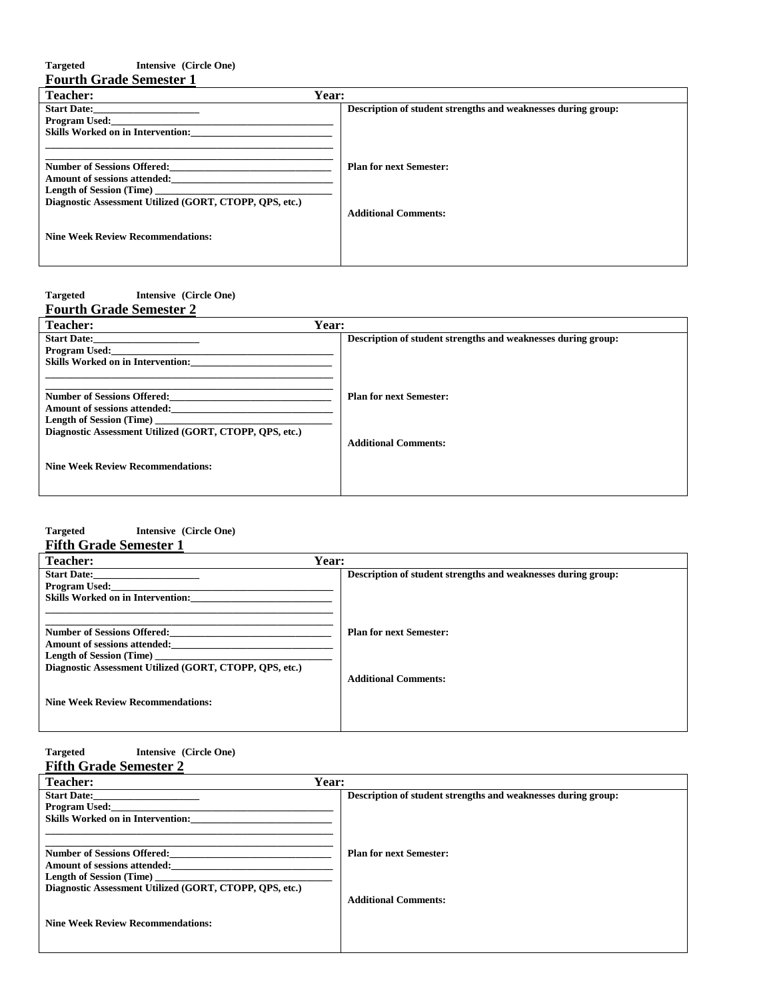### **Targeted Intensive (Circle One) Fourth Grade Semester 1**

| <b>Teacher:</b>                                         | Year:                                                         |
|---------------------------------------------------------|---------------------------------------------------------------|
| <b>Start Date:</b>                                      | Description of student strengths and weaknesses during group: |
| Program Used:                                           |                                                               |
| <b>Skills Worked on in Intervention:</b>                |                                                               |
|                                                         |                                                               |
| <b>Number of Sessions Offered:</b>                      | <b>Plan for next Semester:</b>                                |
| <b>Amount of sessions attended:</b>                     |                                                               |
| <b>Length of Session (Time)</b>                         |                                                               |
| Diagnostic Assessment Utilized (GORT, CTOPP, QPS, etc.) |                                                               |
|                                                         | <b>Additional Comments:</b>                                   |
|                                                         |                                                               |
| <b>Nine Week Review Recommendations:</b>                |                                                               |
|                                                         |                                                               |
|                                                         |                                                               |

### **Targeted Intensive (Circle One)**

| <b>Fourth Grade Semester 2</b>                                                                                                                                          |                                                               |
|-------------------------------------------------------------------------------------------------------------------------------------------------------------------------|---------------------------------------------------------------|
| Year:<br><b>Teacher:</b>                                                                                                                                                |                                                               |
| <b>Start Date:</b><br>Program Used:<br><b>Skills Worked on in Intervention:</b>                                                                                         | Description of student strengths and weaknesses during group: |
| <b>Number of Sessions Offered:</b><br><b>Amount of sessions attended:</b><br><b>Length of Session (Time)</b><br>Diagnostic Assessment Utilized (GORT, CTOPP, OPS, etc.) | <b>Plan for next Semester:</b><br><b>Additional Comments:</b> |
| <b>Nine Week Review Recommendations:</b>                                                                                                                                |                                                               |

## **Targeted Intensive (Circle One)**

| <b>Fifth Grade Semester 1</b> |  |  |
|-------------------------------|--|--|
|-------------------------------|--|--|

| <b>Teacher:</b>                                                           | Year:                                                         |
|---------------------------------------------------------------------------|---------------------------------------------------------------|
| <b>Start Date:</b><br>Program Used:                                       | Description of student strengths and weaknesses during group: |
| <b>Skills Worked on in Intervention:</b>                                  |                                                               |
|                                                                           |                                                               |
| <b>Number of Sessions Offered:</b><br><b>Amount of sessions attended:</b> | <b>Plan for next Semester:</b>                                |
| <b>Length of Session (Time)</b>                                           |                                                               |
| Diagnostic Assessment Utilized (GORT, CTOPP, QPS, etc.)                   |                                                               |
|                                                                           | <b>Additional Comments:</b>                                   |
| <b>Nine Week Review Recommendations:</b>                                  |                                                               |
|                                                                           |                                                               |

#### **Targeted Intensive (Circle One) Fifth Grade Semester 2**

| Year:                                                         |
|---------------------------------------------------------------|
| Description of student strengths and weaknesses during group: |
|                                                               |
|                                                               |
|                                                               |
| <b>Plan for next Semester:</b>                                |
|                                                               |
|                                                               |
|                                                               |
| <b>Additional Comments:</b>                                   |
|                                                               |
|                                                               |
|                                                               |
|                                                               |